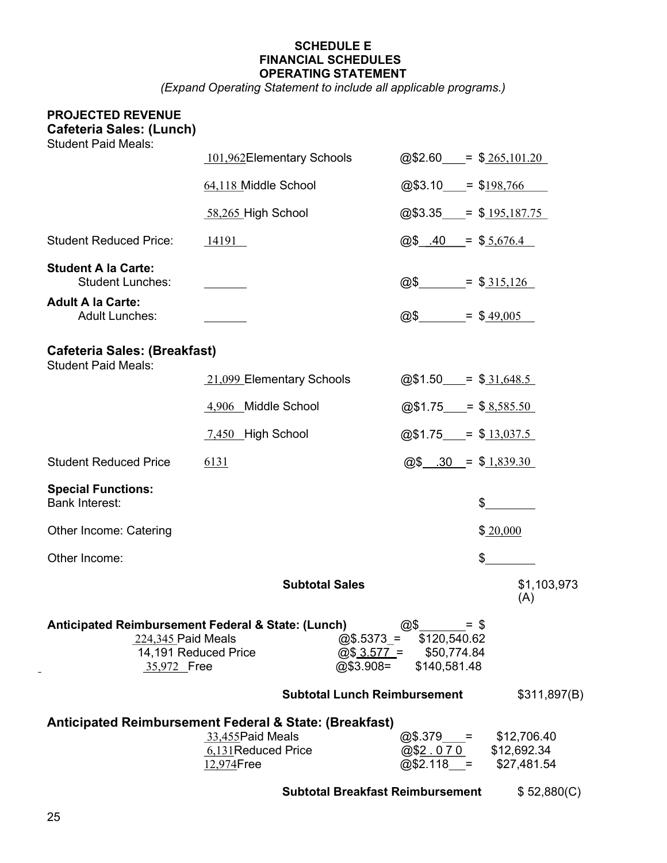# SCHEDULE E FINANCIAL SCHEDULES OPERATING STATEMENT

(Expand Operating Statement to include all applicable programs.)

# PROJECTED REVENUE Cafeteria Sales: (Lunch) Student Paid Meals:

| Oluutiil Falu Ivitais.                                                                                          | 101,962Elementary Schools                              | $@$2.60 = $265,101.20$                                                                            |                    |
|-----------------------------------------------------------------------------------------------------------------|--------------------------------------------------------|---------------------------------------------------------------------------------------------------|--------------------|
|                                                                                                                 | 64,118 Middle School                                   | @\$3.10                                                                                           | $=$ \$198,766      |
|                                                                                                                 | 58,265 High School                                     | $@$3.35$ = \$ $195,187.75$                                                                        |                    |
| <b>Student Reduced Price:</b>                                                                                   | 14191                                                  | $\omega$ \$ .40 = \$ 5,676.4                                                                      |                    |
| <b>Student A la Carte:</b><br><b>Student Lunches:</b>                                                           |                                                        | @\$_______                                                                                        | $=$ \$315,126      |
| <b>Adult A la Carte:</b><br><b>Adult Lunches:</b>                                                               |                                                        | @\$___                                                                                            | $=$ \$49,005       |
| <b>Cafeteria Sales: (Breakfast)</b><br><b>Student Paid Meals:</b>                                               |                                                        |                                                                                                   |                    |
|                                                                                                                 | 21,099 Elementary Schools                              | $@$1.50$ = \$31,648.5                                                                             |                    |
|                                                                                                                 | 4,906 Middle School                                    | $@$1.75$ = \$8,585.50                                                                             |                    |
|                                                                                                                 | 7,450 High School                                      | $@$1.75 = $13,037.5$                                                                              |                    |
| <b>Student Reduced Price</b>                                                                                    | 6131                                                   | $@$$ .30 = \$1,839.30                                                                             |                    |
| <b>Special Functions:</b><br><b>Bank Interest:</b>                                                              |                                                        |                                                                                                   | \$                 |
| <b>Other Income: Catering</b>                                                                                   |                                                        |                                                                                                   | \$20,000           |
| Other Income:                                                                                                   |                                                        |                                                                                                   | \$                 |
|                                                                                                                 | <b>Subtotal Sales</b>                                  |                                                                                                   | \$1,103,973<br>(A) |
| Anticipated Reimbursement Federal & State: (Lunch)<br>224,345 Paid Meals<br>14,191 Reduced Price<br>35,972 Free |                                                        | @\$<br>$=$ \$<br>$@$.5373 = $120,540.62$<br>$@$3.577 = $50,774.84$<br>@\$3.908=<br>\$140,581.48   |                    |
|                                                                                                                 |                                                        | <b>Subtotal Lunch Reimbursement</b>                                                               | \$311,897(B)       |
| Anticipated Reimbursement Federal & State: (Breakfast)                                                          | 33,455 Paid Meals<br>6,131 Reduced Price<br>12,974Free | $@$.379$ = \$12,706.40<br>$\overline{@$2.070}$ $$12,692.34$<br>$\overline{@$2.118}$ = \$27,481.54 |                    |

Subtotal Breakfast Reimbursement \$ 52,880(C)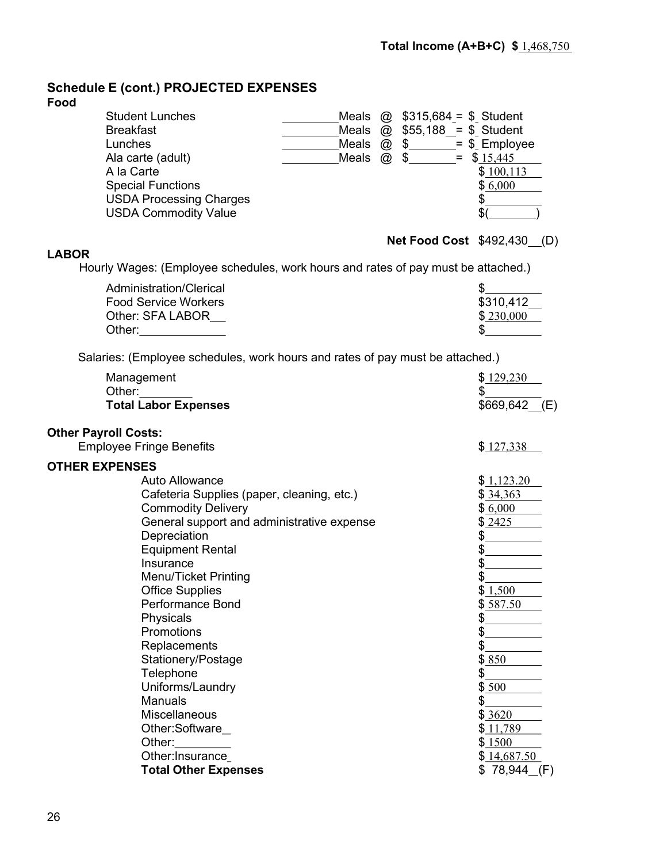# Schedule E (cont.) PROJECTED EXPENSES

# Food

| <b>Student Lunches</b>         |       |             | Meals $\omega$ \$315,684 = \$ Student |
|--------------------------------|-------|-------------|---------------------------------------|
| <b>Breakfast</b>               |       |             | Meals $\omega$ \$55,188 = \$ Student  |
| Lunches                        | Meals | $\circledR$ | $$ = $ Employee$                      |
| Ala carte (adult)              | Meals | $\varpi$    | $=$ \$ 15,445<br>\$                   |
| A la Carte                     |       |             | \$100,113                             |
| <b>Special Functions</b>       |       |             | \$6,000                               |
| <b>USDA Processing Charges</b> |       |             |                                       |
| <b>USDA Commodity Value</b>    |       |             | \$                                    |

# LABOR

# **Net Food Cost \$492,430 (D)**

Hourly Wages: (Employee schedules, work hours and rates of pay must be attached.)

| Administration/Clerical     |           |
|-----------------------------|-----------|
| <b>Food Service Workers</b> | \$310,412 |
| Other: SFA LABOR .          | \$230,000 |
| Other:                      |           |

Salaries: (Employee schedules, work hours and rates of pay must be attached.)

| \$129,230      |
|----------------|
| \$             |
| $$669,642$ (E) |
|                |
| \$127,338      |
|                |
| \$1,123.20     |
| \$34,363       |
| \$6,000        |
| \$2425         |
| \$             |
| \$             |
| \$             |
| \$             |
| \$1,500        |
| \$587.50       |
| \$             |
| \$             |
| \$             |
| \$850          |
| \$             |
| \$ 500         |
| \$             |
| \$3620         |
| \$11,789       |
| \$1500         |
| \$14,687.50    |
| $$78,944$ (F)  |
|                |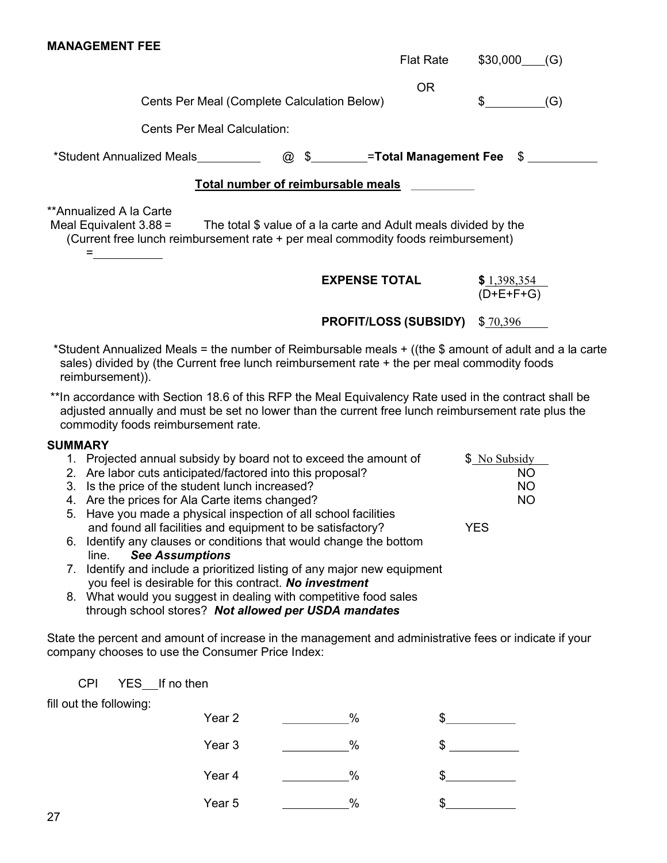|                                                                                                                                                                                                                                                                                                                                                                                        | <b>Flat Rate</b>                          | $$30,000$ (G)                                                      |
|----------------------------------------------------------------------------------------------------------------------------------------------------------------------------------------------------------------------------------------------------------------------------------------------------------------------------------------------------------------------------------------|-------------------------------------------|--------------------------------------------------------------------|
| Cents Per Meal (Complete Calculation Below)                                                                                                                                                                                                                                                                                                                                            | <b>OR</b>                                 | $\mathbb{S}$<br>(G)                                                |
| <b>Cents Per Meal Calculation:</b>                                                                                                                                                                                                                                                                                                                                                     |                                           |                                                                    |
| *Student Annualized Meals__________                                                                                                                                                                                                                                                                                                                                                    | <b>@</b> \$_________=Total Management Fee | $\frac{1}{\sqrt{2}}$                                               |
| Total number of reimbursable meals                                                                                                                                                                                                                                                                                                                                                     |                                           |                                                                    |
| **Annualized A la Carte<br>Meal Equivalent $3.88 =$<br>The total \$ value of a la carte and Adult meals divided by the<br>(Current free lunch reimbursement rate + per meal commodity foods reimbursement)                                                                                                                                                                             |                                           |                                                                    |
|                                                                                                                                                                                                                                                                                                                                                                                        | <b>EXPENSE TOTAL</b>                      | \$1,398,354<br>$(D+E+F+G)$                                         |
|                                                                                                                                                                                                                                                                                                                                                                                        | <b>PROFIT/LOSS (SUBSIDY)</b> \$70,396     |                                                                    |
| *Student Annualized Meals = the number of Reimbursable meals + ((the \$ amount of adult and a la carte<br>sales) divided by (the Current free lunch reimbursement rate + the per meal commodity foods<br>reimbursement)).                                                                                                                                                              |                                           |                                                                    |
| ** In accordance with Section 18.6 of this RFP the Meal Equivalency Rate used in the contract shall be<br>adjusted annually and must be set no lower than the current free lunch reimbursement rate plus the<br>commodity foods reimbursement rate.                                                                                                                                    |                                           |                                                                    |
| <b>SUMMARY</b><br>1. Projected annual subsidy by board not to exceed the amount of<br>2. Are labor cuts anticipated/factored into this proposal?<br>3. Is the price of the student lunch increased?<br>4. Are the prices for Ala Carte items changed?<br>5. Have you made a physical inspection of all school facilities<br>and found all facilities and equipment to be satisfactory? |                                           | \$ No Subsidy<br><b>NO</b><br><b>NO</b><br><b>NO</b><br><b>YES</b> |

- 6. Identify any clauses or conditions that would change the bottom line. See Assumptions
- 7. Identify and include a prioritized listing of any major new equipment you feel is desirable for this contract. No investment
- 8. What would you suggest in dealing with competitive food sales through school stores? Not allowed per USDA mandates

State the percent and amount of increase in the management and administrative fees or indicate if your company chooses to use the Consumer Price Index:

CPI YES If no then

fill out the following:

MANAGEMENT FEE

| Year 2 | $\%$ |    |
|--------|------|----|
| Year 3 | $\%$ | ъĐ |
| Year 4 | %    |    |
| Year 5 | $\%$ |    |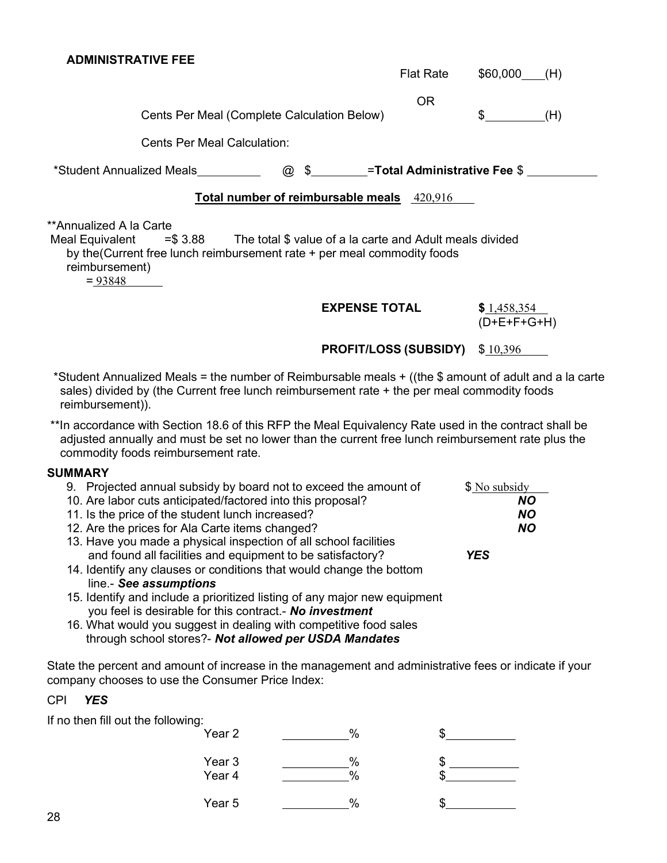| <b>ADMINISTRATIVE FEE</b>                                                                                                                                                                                                 |                                                   |                              |
|---------------------------------------------------------------------------------------------------------------------------------------------------------------------------------------------------------------------------|---------------------------------------------------|------------------------------|
|                                                                                                                                                                                                                           | <b>Flat Rate</b>                                  | \$60,000<br>(H)              |
| Cents Per Meal (Complete Calculation Below)<br><b>Cents Per Meal Calculation:</b>                                                                                                                                         | 0R                                                | $\mathbb{S}$<br>(H)          |
| *Student Annualized Meals                                                                                                                                                                                                 | <b>@</b> \$__________=Total Administrative Fee \$ |                              |
| Total number of reimbursable meals 420,916                                                                                                                                                                                |                                                   |                              |
| **Annualized A la Carte<br>Meal Equivalent $= $3.88$ The total $$$ value of a la carte and Adult meals divided<br>by the (Current free lunch reimbursement rate + per meal commodity foods<br>reimbursement)<br>$= 93848$ |                                                   |                              |
|                                                                                                                                                                                                                           | <b>EXPENSE TOTAL</b>                              | \$1,458,354<br>$(D+E+F+G+H)$ |
|                                                                                                                                                                                                                           | <b>PROFIT/LOSS (SUBSIDY)</b>                      | \$10,396                     |

\*Student Annualized Meals = the number of Reimbursable meals + ((the \$ amount of adult and a la carte sales) divided by (the Current free lunch reimbursement rate + the per meal commodity foods reimbursement)).

\*\*In accordance with Section 18.6 of this RFP the Meal Equivalency Rate used in the contract shall be adjusted annually and must be set no lower than the current free lunch reimbursement rate plus the commodity foods reimbursement rate.

# **SUMMARY**

| 9. Projected annual subsidy by board not to exceed the amount of                                                                     | \$ No subsidy |
|--------------------------------------------------------------------------------------------------------------------------------------|---------------|
| 10. Are labor cuts anticipated/factored into this proposal?                                                                          | <b>NO</b>     |
| 11. Is the price of the student lunch increased?                                                                                     | <b>NO</b>     |
| 12. Are the prices for Ala Carte items changed?                                                                                      | <b>NO</b>     |
| 13. Have you made a physical inspection of all school facilities                                                                     |               |
| and found all facilities and equipment to be satisfactory?                                                                           | <b>YES</b>    |
| 14. Identify any clauses or conditions that would change the bottom                                                                  |               |
| line.- See assumptions                                                                                                               |               |
| 15. Identify and include a prioritized listing of any major new equipment<br>you feel is desirable for this contract.- No investment |               |
|                                                                                                                                      |               |

16. What would you suggest in dealing with competitive food sales through school stores?- Not allowed per USDA Mandates

State the percent and amount of increase in the management and administrative fees or indicate if your company chooses to use the Consumer Price Index:

# CPI YES

If no then fill out the following:

| Year 2           | $\%$         |  |
|------------------|--------------|--|
| Year 3<br>Year 4 | $\%$<br>$\%$ |  |
| Year 5           | $\%$         |  |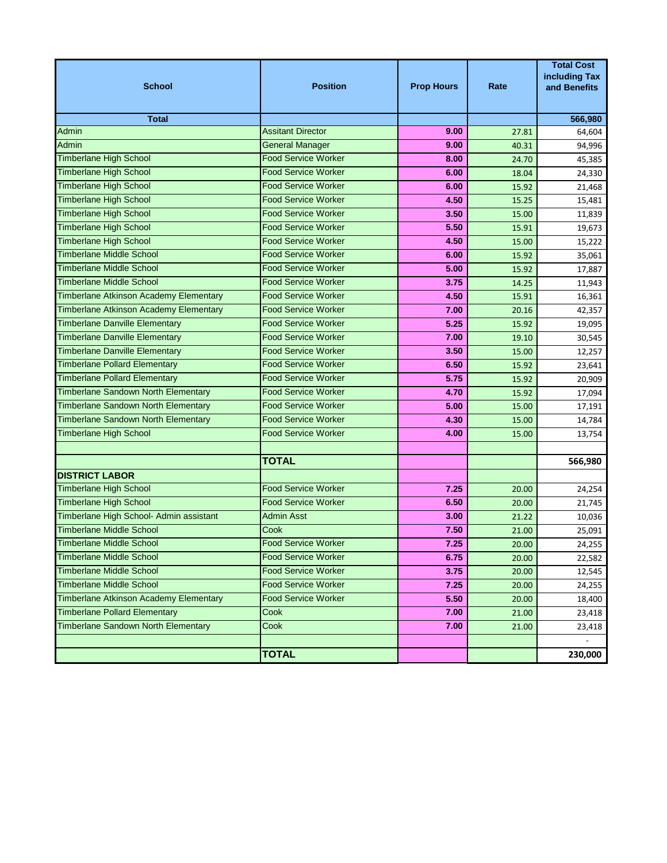| <b>School</b>                                 | <b>Position</b>            | <b>Prop Hours</b> | Rate  | <b>Total Cost</b><br>including Tax<br>and Benefits |
|-----------------------------------------------|----------------------------|-------------------|-------|----------------------------------------------------|
| <b>Total</b>                                  |                            |                   |       | 566,980                                            |
| <b>Admin</b>                                  | <b>Assitant Director</b>   | 9.00              | 27.81 | 64,604                                             |
| Admin                                         | <b>General Manager</b>     | 9.00              | 40.31 | 94,996                                             |
| <b>Timberlane High School</b>                 | <b>Food Service Worker</b> | 8.00              | 24.70 | 45,385                                             |
| <b>Timberlane High School</b>                 | <b>Food Service Worker</b> | 6.00              | 18.04 | 24,330                                             |
| <b>Timberlane High School</b>                 | <b>Food Service Worker</b> | 6.00              | 15.92 | 21,468                                             |
| <b>Timberlane High School</b>                 | <b>Food Service Worker</b> | 4.50              | 15.25 | 15,481                                             |
| <b>Timberlane High School</b>                 | <b>Food Service Worker</b> | 3.50              | 15.00 | 11,839                                             |
| <b>Timberlane High School</b>                 | <b>Food Service Worker</b> | 5.50              | 15.91 | 19,673                                             |
| <b>Timberlane High School</b>                 | <b>Food Service Worker</b> | 4.50              | 15.00 | 15,222                                             |
| <b>Timberlane Middle School</b>               | <b>Food Service Worker</b> | 6.00              | 15.92 | 35,061                                             |
| <b>Timberlane Middle School</b>               | <b>Food Service Worker</b> | 5.00              | 15.92 | 17,887                                             |
| <b>Timberlane Middle School</b>               | <b>Food Service Worker</b> | 3.75              | 14.25 | 11,943                                             |
| <b>Timberlane Atkinson Academy Elementary</b> | <b>Food Service Worker</b> | 4.50              | 15.91 | 16,361                                             |
| Timberlane Atkinson Academy Elementary        | <b>Food Service Worker</b> | 7.00              | 20.16 | 42,357                                             |
| <b>Timberlane Danville Elementary</b>         | <b>Food Service Worker</b> | 5.25              | 15.92 | 19,095                                             |
| <b>Timberlane Danville Elementary</b>         | <b>Food Service Worker</b> | 7.00              | 19.10 | 30,545                                             |
| <b>Timberlane Danville Elementary</b>         | <b>Food Service Worker</b> | 3.50              | 15.00 | 12,257                                             |
| <b>Timberlane Pollard Elementary</b>          | <b>Food Service Worker</b> | 6.50              | 15.92 | 23,641                                             |
| <b>Timberlane Pollard Elementary</b>          | <b>Food Service Worker</b> | 5.75              | 15.92 | 20,909                                             |
| <b>Timberlane Sandown North Elementary</b>    | <b>Food Service Worker</b> | 4.70              | 15.92 | 17,094                                             |
| <b>Timberlane Sandown North Elementary</b>    | <b>Food Service Worker</b> | 5.00              | 15.00 | 17,191                                             |
| Timberlane Sandown North Elementary           | <b>Food Service Worker</b> | 4.30              | 15.00 | 14,784                                             |
| <b>Timberlane High School</b>                 | <b>Food Service Worker</b> | 4.00              | 15.00 | 13,754                                             |
|                                               |                            |                   |       |                                                    |
|                                               | <b>TOTAL</b>               |                   |       | 566,980                                            |
| <b>DISTRICT LABOR</b>                         |                            |                   |       |                                                    |
| <b>Timberlane High School</b>                 | <b>Food Service Worker</b> | 7.25              | 20.00 | 24,254                                             |
| <b>Timberlane High School</b>                 | <b>Food Service Worker</b> | 6.50              | 20.00 | 21,745                                             |
| Timberlane High School- Admin assistant       | Admin Asst                 | 3.00              | 21.22 | 10,036                                             |
| <b>Timberlane Middle School</b>               | Cook                       | 7.50              | 21.00 | 25,091                                             |
| <b>Timberlane Middle School</b>               | <b>Food Service Worker</b> | 7.25              | 20.00 | 24,255                                             |
| <b>Timberlane Middle School</b>               | <b>Food Service Worker</b> | 6.75              | 20.00 | 22,582                                             |
| <b>Timberlane Middle School</b>               | <b>Food Service Worker</b> | 3.75              | 20.00 | 12,545                                             |
| <b>Timberlane Middle School</b>               | <b>Food Service Worker</b> | 7.25              | 20.00 | 24,255                                             |
| <b>Timberlane Atkinson Academy Elementary</b> | <b>Food Service Worker</b> | 5.50              | 20.00 | 18,400                                             |
| <b>Timberlane Pollard Elementary</b>          | Cook                       | 7.00              | 21.00 | 23,418                                             |
| <b>Timberlane Sandown North Elementary</b>    | Cook                       | 7.00              | 21.00 | 23,418                                             |
|                                               |                            |                   |       |                                                    |
|                                               | <b>TOTAL</b>               |                   |       | 230,000                                            |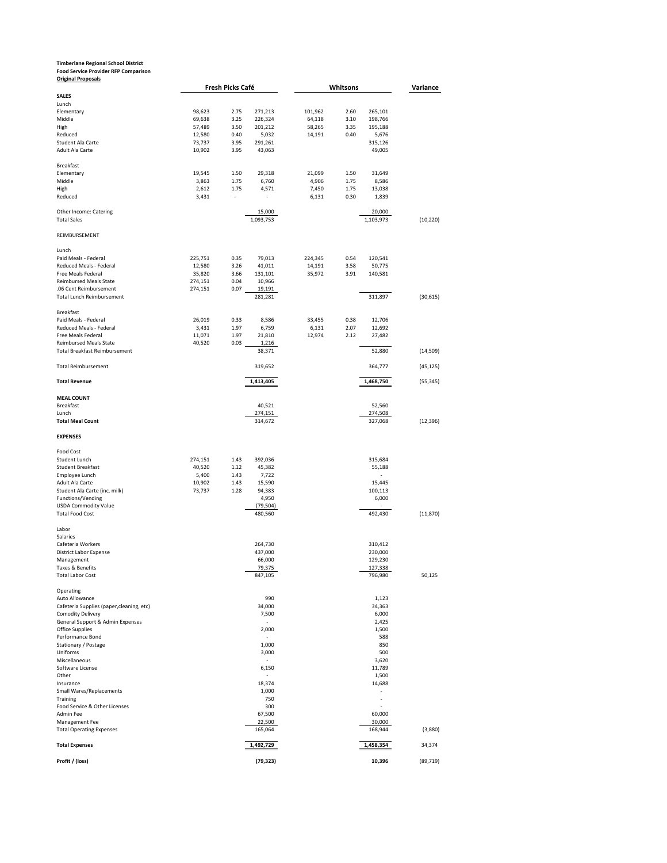# **Timberlane Regional School District Food Service Provider RFP Comparison Original Proposals**

| <b>Original Proposals</b>                                             |         | Fresh Picks Café |                     |         | Whitsons |                     | Variance  |
|-----------------------------------------------------------------------|---------|------------------|---------------------|---------|----------|---------------------|-----------|
| <b>SALES</b>                                                          |         |                  |                     |         |          |                     |           |
| Lunch                                                                 |         |                  |                     |         |          |                     |           |
| Elementary                                                            | 98,623  | 2.75             | 271,213             | 101,962 | 2.60     | 265,101             |           |
| Middle                                                                | 69,638  | 3.25             | 226,324             | 64,118  | 3.10     | 198,766             |           |
| High                                                                  | 57,489  | 3.50             | 201,212             | 58,265  | 3.35     | 195,188             |           |
| Reduced                                                               | 12,580  | 0.40             | 5,032               | 14,191  | 0.40     | 5,676               |           |
| Student Ala Carte                                                     | 73,737  | 3.95             | 291,261             |         |          | 315,126             |           |
| Adult Ala Carte                                                       | 10,902  | 3.95             | 43,063              |         |          | 49,005              |           |
| <b>Breakfast</b>                                                      |         |                  |                     |         |          |                     |           |
| Elementary                                                            | 19,545  | 1.50             | 29,318              | 21,099  | 1.50     | 31,649              |           |
| Middle                                                                | 3,863   | 1.75             | 6,760               | 4,906   | 1.75     | 8,586               |           |
| High                                                                  | 2,612   | 1.75             | 4,571               | 7,450   | 1.75     | 13,038              |           |
| Reduced                                                               | 3,431   | ÷                | ÷,                  | 6,131   | 0.30     | 1,839               |           |
|                                                                       |         |                  |                     |         |          |                     |           |
| Other Income: Catering<br><b>Total Sales</b>                          |         |                  | 15,000<br>1,093,753 |         |          | 20,000<br>1,103,973 | (10, 220) |
|                                                                       |         |                  |                     |         |          |                     |           |
| REIMBURSEMENT                                                         |         |                  |                     |         |          |                     |           |
|                                                                       |         |                  |                     |         |          |                     |           |
| Lunch<br>Paid Meals - Federal                                         | 225,751 | 0.35             | 79,013              | 224,345 | 0.54     | 120,541             |           |
| Reduced Meals - Federal                                               | 12,580  | 3.26             | 41,011              | 14,191  | 3.58     | 50,775              |           |
| Free Meals Federal                                                    | 35,820  | 3.66             | 131,101             | 35,972  | 3.91     | 140,581             |           |
| <b>Reimbursed Meals State</b>                                         | 274,151 | 0.04             | 10,966              |         |          |                     |           |
| .06 Cent Reimbursement                                                | 274,151 | 0.07             | 19,191              |         |          |                     |           |
| <b>Total Lunch Reimbursement</b>                                      |         |                  | 281.281             |         |          | 311,897             | (30, 615) |
|                                                                       |         |                  |                     |         |          |                     |           |
| Breakfast                                                             |         |                  |                     |         |          |                     |           |
| Paid Meals - Federal                                                  | 26,019  | 0.33             | 8,586               | 33,455  | 0.38     | 12,706              |           |
| Reduced Meals - Federal                                               | 3,431   | 1.97             | 6,759               | 6,131   | 2.07     | 12,692              |           |
| Free Meals Federal                                                    | 11,071  | 1.97             | 21,810              | 12,974  | 2.12     | 27,482              |           |
| <b>Reimbursed Meals State</b><br><b>Total Breakfast Reimbursement</b> | 40,520  | 0.03             | 1,216<br>38,371     |         |          | 52,880              | (14, 509) |
|                                                                       |         |                  |                     |         |          |                     |           |
| <b>Total Reimbursement</b>                                            |         |                  | 319,652             |         |          | 364,777             | (45,125)  |
| <b>Total Revenue</b>                                                  |         |                  | 1,413,405           |         |          | 1,468,750           | (55, 345) |
|                                                                       |         |                  |                     |         |          |                     |           |
| <b>MEAL COUNT</b>                                                     |         |                  |                     |         |          |                     |           |
| <b>Breakfast</b>                                                      |         |                  | 40,521              |         |          | 52,560              |           |
| Lunch                                                                 |         |                  | 274,151             |         |          | 274,508             |           |
| <b>Total Meal Count</b>                                               |         |                  | 314,672             |         |          | 327,068             | (12, 396) |
| <b>EXPENSES</b>                                                       |         |                  |                     |         |          |                     |           |
| Food Cost                                                             |         |                  |                     |         |          |                     |           |
| Student Lunch                                                         | 274,151 | 1.43             | 392,036             |         |          | 315,684             |           |
| <b>Student Breakfast</b>                                              | 40,520  | 1.12             | 45,382              |         |          | 55,188              |           |
| Employee Lunch                                                        | 5,400   | 1.43             | 7,722               |         |          | L,                  |           |
| Adult Ala Carte                                                       | 10,902  | 1.43             | 15,590              |         |          | 15,445              |           |
| Student Ala Carte (inc. milk)                                         | 73,737  | 1.28             | 94,383              |         |          | 100,113             |           |
| Functions/Vending                                                     |         |                  | 4,950               |         |          | 6,000               |           |
| <b>USDA Commodity Value</b>                                           |         |                  | (79, 504)           |         |          |                     |           |
| <b>Total Food Cost</b>                                                |         |                  | 480,560             |         |          | 492,430             | (11, 870) |
|                                                                       |         |                  |                     |         |          |                     |           |
| Labor<br>Salaries                                                     |         |                  |                     |         |          |                     |           |
| Cafeteria Workers                                                     |         |                  | 264,730             |         |          | 310,412             |           |
| <b>District Labor Expense</b>                                         |         |                  | 437,000             |         |          | 230,000             |           |
| Management                                                            |         |                  | 66,000              |         |          | 129,230             |           |
| Taxes & Benefits                                                      |         |                  | 79 375              |         |          | 127.338             |           |
| <b>Total Labor Cost</b>                                               |         |                  | 847,105             |         |          | 796,980             | 50,125    |
|                                                                       |         |                  |                     |         |          |                     |           |
| Operating                                                             |         |                  |                     |         |          |                     |           |
| Auto Allowance                                                        |         |                  | 990                 |         |          | 1,123               |           |
| Cafeteria Supplies (paper, cleaning, etc)<br><b>Comodity Delivery</b> |         |                  | 34,000<br>7,500     |         |          | 34,363<br>6,000     |           |
| General Support & Admin Expenses                                      |         |                  | ÷,                  |         |          | 2,425               |           |
| Office Supplies                                                       |         |                  | 2,000               |         |          | 1,500               |           |
| Performance Bond                                                      |         |                  | L.                  |         |          | 588                 |           |
| Stationary / Postage                                                  |         |                  | 1,000               |         |          | 850                 |           |
| Uniforms                                                              |         |                  | 3,000               |         |          | 500                 |           |
| Miscellaneous                                                         |         |                  | ٠                   |         |          | 3,620               |           |
| Software License                                                      |         |                  | 6,150               |         |          | 11,789              |           |
| Other                                                                 |         |                  |                     |         |          | 1,500               |           |
| Insurance                                                             |         |                  | 18,374              |         |          | 14,688              |           |
| Small Wares/Replacements                                              |         |                  | 1,000               |         |          |                     |           |
| Training                                                              |         |                  | 750                 |         |          |                     |           |
| Food Service & Other Licenses                                         |         |                  | 300                 |         |          | J.                  |           |
| Admin Fee                                                             |         |                  | 67,500              |         |          | 60,000              |           |
| Management Fee<br><b>Total Operating Expenses</b>                     |         |                  | 22,500<br>165,064   |         |          | 30,000<br>168,944   | (3,880)   |
|                                                                       |         |                  |                     |         |          |                     |           |
| <b>Total Expenses</b>                                                 |         |                  | 1,492,729           |         |          | 1,458,354           | 34,374    |
|                                                                       |         |                  |                     |         |          |                     |           |
| Profit / (loss)                                                       |         |                  | (79, 323)           |         |          | 10,396              | (89, 719) |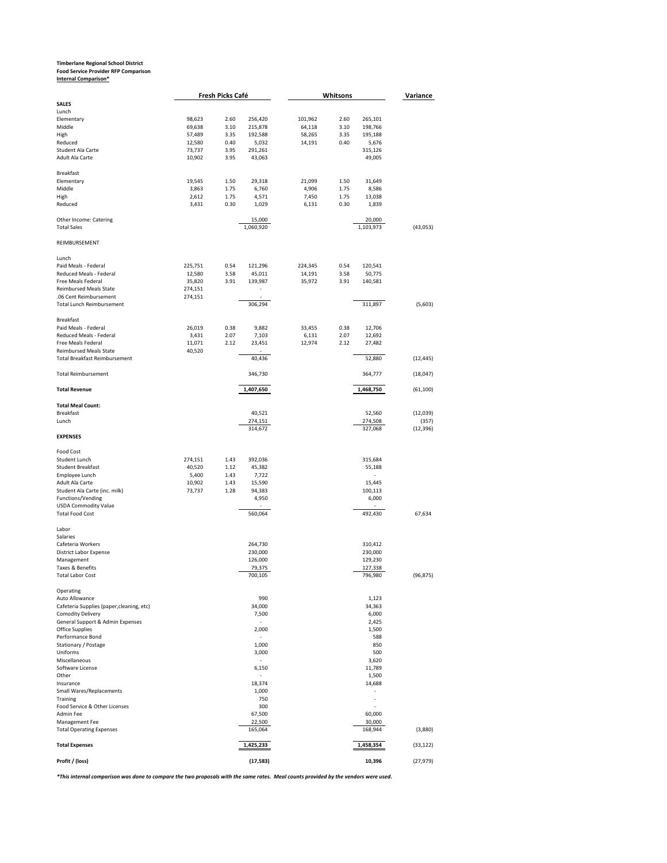# **Timberlane Regional School District Food Service Provider RFP Comparison Internal Comparison\***

|                                              |         | Fresh Picks Café |                          | Whitsons |      | Variance            |           |
|----------------------------------------------|---------|------------------|--------------------------|----------|------|---------------------|-----------|
| <b>SALES</b>                                 |         |                  |                          |          |      |                     |           |
| Lunch                                        |         |                  |                          |          |      |                     |           |
| Elementary                                   | 98,623  | 2.60             | 256,420                  | 101,962  | 2.60 | 265,101             |           |
| Middle                                       | 69,638  | 3.10             | 215,878                  | 64,118   | 3.10 | 198,766             |           |
| High                                         | 57,489  | 3.35             | 192,588                  | 58,265   | 3.35 | 195,188             |           |
| Reduced                                      | 12,580  | 0.40             | 5,032                    | 14,191   | 0.40 | 5,676               |           |
| Student Ala Carte                            | 73,737  | 3.95             | 291,261                  |          |      | 315,126             |           |
| Adult Ala Carte                              | 10,902  | 3.95             | 43,063                   |          |      | 49,005              |           |
| Breakfast                                    |         |                  |                          |          |      |                     |           |
| Elementary                                   | 19,545  | 1.50             | 29,318                   | 21,099   | 1.50 | 31,649              |           |
| Middle                                       | 3,863   | 1.75             | 6,760                    | 4,906    | 1.75 | 8,586               |           |
| High                                         | 2,612   | 1.75             | 4,571                    | 7,450    | 1.75 | 13,038              |           |
| Reduced                                      | 3,431   | 0.30             | 1,029                    | 6,131    | 0.30 | 1,839               |           |
|                                              |         |                  |                          |          |      |                     |           |
| Other Income: Catering<br><b>Total Sales</b> |         |                  | 15,000<br>1,060,920      |          |      | 20,000<br>1,103,973 | (43,053)  |
|                                              |         |                  |                          |          |      |                     |           |
| REIMBURSEMENT                                |         |                  |                          |          |      |                     |           |
| Lunch                                        |         |                  |                          |          |      |                     |           |
| Paid Meals - Federal                         | 225,751 | 0.54             | 121,296                  | 224,345  | 0.54 | 120,541             |           |
| Reduced Meals - Federal                      | 12,580  | 3.58             | 45,011                   | 14,191   | 3.58 | 50,775              |           |
| Free Meals Federal                           | 35,820  | 3.91             | 139,987                  | 35,972   | 3.91 | 140,581             |           |
| <b>Reimbursed Meals State</b>                | 274,151 |                  | $\overline{\phantom{a}}$ |          |      |                     |           |
| .06 Cent Reimbursement                       |         |                  |                          |          |      |                     |           |
|                                              | 274,151 |                  | 306,294                  |          |      |                     |           |
| <b>Total Lunch Reimbursement</b>             |         |                  |                          |          |      | 311,897             | (5,603)   |
| <b>Breakfast</b>                             |         |                  |                          |          |      |                     |           |
| Paid Meals - Federal                         | 26,019  | 0.38             | 9,882                    | 33,455   | 0.38 | 12,706              |           |
| Reduced Meals - Federal                      | 3,431   | 2.07             | 7,103                    | 6,131    | 2.07 | 12,692              |           |
| Free Meals Federal                           | 11,071  | 2.12             | 23,451                   | 12,974   | 2.12 | 27,482              |           |
| <b>Reimbursed Meals State</b>                | 40,520  |                  |                          |          |      |                     |           |
| <b>Total Breakfast Reimbursement</b>         |         |                  | 40,436                   |          |      | 52,880              | (12, 445) |
| <b>Total Reimbursement</b>                   |         |                  | 346,730                  |          |      | 364,777             | (18,047)  |
| <b>Total Revenue</b>                         |         |                  | 1,407,650                |          |      | 1,468,750           | (61, 100) |
|                                              |         |                  |                          |          |      |                     |           |
| <b>Total Meal Count:</b>                     |         |                  |                          |          |      |                     |           |
| Breakfast                                    |         |                  | 40,521                   |          |      | 52,560              | (12,039)  |
| Lunch                                        |         |                  | 274,151                  |          |      | 274,508             | (357)     |
| <b>EXPENSES</b>                              |         |                  | 314,672                  |          |      | 327,068             | (12, 396) |
|                                              |         |                  |                          |          |      |                     |           |
| Food Cost                                    |         |                  |                          |          |      |                     |           |
| Student Lunch                                | 274,151 | 1.43             | 392,036                  |          |      | 315,684             |           |
| <b>Student Breakfast</b>                     | 40,520  | 1.12             | 45,382                   |          |      | 55,188              |           |
| Employee Lunch                               | 5,400   | 1.43             | 7,722                    |          |      |                     |           |
| Adult Ala Carte                              | 10,902  | 1.43             | 15,590                   |          |      | 15,445              |           |
| Student Ala Carte (inc. milk)                | 73,737  | 1.28             | 94,383                   |          |      | 100,113             |           |
| Functions/Vending                            |         |                  | 4,950                    |          |      | 6,000               |           |
| <b>USDA Commodity Value</b>                  |         |                  |                          |          |      |                     |           |
| <b>Total Food Cost</b>                       |         |                  | 560,064                  |          |      | 492,430             | 67,634    |
|                                              |         |                  |                          |          |      |                     |           |
| Labor<br>Salaries                            |         |                  |                          |          |      |                     |           |
| Cafeteria Workers                            |         |                  | 264,730                  |          |      | 310,412             |           |
| <b>District Labor Expense</b>                |         |                  | 230,000                  |          |      | 230,000             |           |
| Management                                   |         |                  | 126,000                  |          |      | 129,230             |           |
| Taxes & Benefits                             |         |                  | 79,375                   |          |      | 127,338             |           |
| <b>Total Labor Cost</b>                      |         |                  | 700,105                  |          |      | 796,980             | (96, 875) |
|                                              |         |                  |                          |          |      |                     |           |
| Operating                                    |         |                  |                          |          |      |                     |           |
| Auto Allowance                               |         |                  | 990                      |          |      | 1,123               |           |
| Cafeteria Supplies (paper, cleaning, etc)    |         |                  | 34,000                   |          |      | 34,363              |           |
| <b>Comodity Delivery</b>                     |         |                  | 7,500                    |          |      | 6,000               |           |
| General Support & Admin Expenses             |         |                  | ÷,                       |          |      | 2,425               |           |
| Office Supplies                              |         |                  | 2,000                    |          |      | 1,500               |           |
| Performance Bond                             |         |                  |                          |          |      | 588                 |           |
| Stationary / Postage                         |         |                  | 1,000                    |          |      | 850                 |           |
| Uniforms                                     |         |                  | 3,000                    |          |      | 500                 |           |
| Miscellaneous                                |         |                  | ÷,                       |          |      | 3,620               |           |
| Software License                             |         |                  | 6,150                    |          |      | 11,789              |           |
| Other                                        |         |                  |                          |          |      | 1,500               |           |
| Insurance                                    |         |                  | 18,374                   |          |      | 14,688              |           |
| Small Wares/Replacements                     |         |                  | 1,000                    |          |      |                     |           |
| Training                                     |         |                  | 750                      |          |      |                     |           |
| Food Service & Other Licenses                |         |                  | 300                      |          |      |                     |           |
| Admin Fee                                    |         |                  | 67,500                   |          |      | 60,000              |           |
| Management Fee                               |         |                  | 22,500                   |          |      | 30,000              |           |
| <b>Total Operating Expenses</b>              |         |                  | 165,064                  |          |      | 168,944             | (3,880)   |
| <b>Total Expenses</b>                        |         |                  |                          |          |      | 1,458,354           | (33, 122) |
|                                              |         |                  | 1,425,233                |          |      |                     |           |

*\*This internal comparison was done to compare the two proposals with the same rates. Meal counts provided by the vendors were used.*

**Profit / (loss) (17,583) 10,396** (27,979)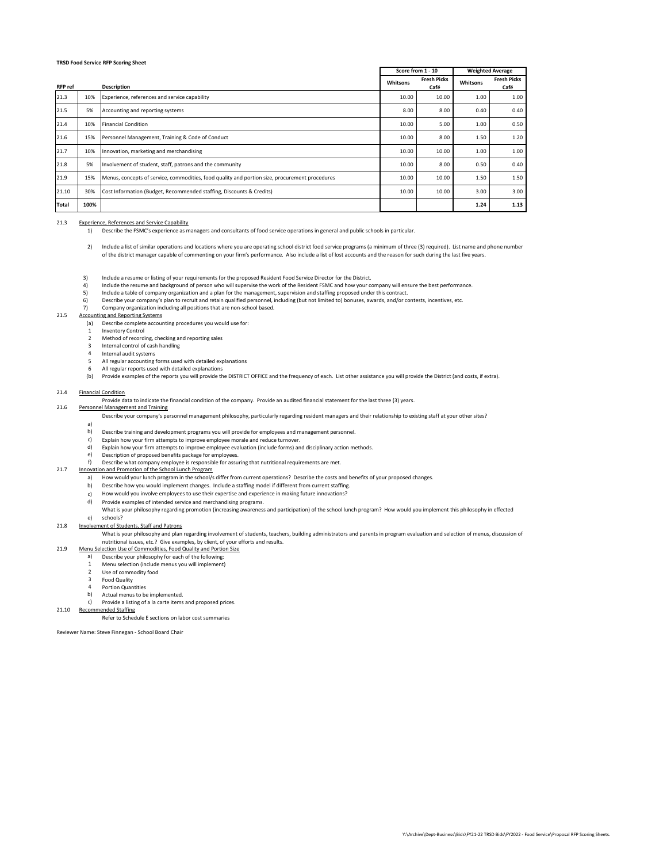|                |      |                                                                                                | Score from 1 - 10 |                            | <b>Weighted Average</b> |                            |
|----------------|------|------------------------------------------------------------------------------------------------|-------------------|----------------------------|-------------------------|----------------------------|
| <b>RFP</b> ref |      | <b>Description</b>                                                                             | Whitsons          | <b>Fresh Picks</b><br>Café | Whitsons                | <b>Fresh Picks</b><br>Café |
| 21.3           | 10%  | Experience, references and service capability                                                  | 10.00             | 10.00                      | 1.00                    | 1.00                       |
| 21.5           | 5%   | Accounting and reporting systems                                                               | 8.00              | 8.00                       | 0.40                    | 0.40                       |
| 21.4           | 10%  | <b>Financial Condition</b>                                                                     | 10.00             | 5.00                       | 1.00                    | 0.50                       |
| 21.6           | 15%  | Personnel Management, Training & Code of Conduct                                               | 10.00             | 8.00                       | 1.50                    | 1.20                       |
| 21.7           | 10%  | Innovation, marketing and merchandising                                                        | 10.00             | 10.00                      | 1.00                    | 1.00                       |
| 21.8           | 5%   | Involvement of student, staff, patrons and the community                                       | 10.00             | 8.00                       | 0.50                    | 0.40                       |
| 21.9           | 15%  | Menus, concepts of service, commodities, food quality and portion size, procurement procedures | 10.00             | 10.00                      | 1.50                    | 1.50                       |
| 21.10          | 30%  | Cost Information (Budget, Recommended staffing, Discounts & Credits)                           | 10.00             | 10.00                      | 3.00                    | 3.00                       |
| Total          | 100% |                                                                                                |                   |                            | 1.24                    | 1.13                       |

#### 21.3 Experience, References and Service Capability

1) Describe the FSMC's experience as managers and consultants of food service operations in general and public schools in particular.

- 2) Include a list of similar operations and locations where you are operating school district food service programs (a minimum of three (3) required). List name and phone number of the district manager capable of commenting on your firm's performance. Also include a list of lost accounts and the reason for such during the last five years.
- 3) Include a resume or listing of your requirements for the proposed Resident Food Service Director for the District.
- 4) Include the resume and background of person who will supervise the work of the Resident FSMC and how your company will ensure the best performance.
- 5) Include a table of company organization and a plan for the management, supervision and staffing proposed under this contract.
- 6) Describe your company's plan to recruit and retain qualified personnel, including (but not limited to) bonuses, awards, and/or contests, incentives, etc.
- 7) Company organization including all positions that are non-school based.

#### 21.5 Accounting and Reporting Systems

- (a) Describe complete accounting procedures you would use for:
- 1 Inventory Control
- $\overline{2}$ Method of recording, checking and reporting sales
- 3 Internal control of cash handling
- 4 Internal audit systems
- 5 All regular accounting forms used with detailed explanations
- All regular reports used with detailed explanations
- 6 (b) Provide examples of the reports you will provide the DISTRICT OFFICE and the frequency of each. List other assistance you will provide the District (and costs, if extra).

#### 21.4 Financial Condition

21.6 Provide data to indicate the financial condition of the company. Provide an audited financial statement for the last three (3) years.

# Personnel Management and Training

Describe your company's personnel management philosophy, particularly regarding resident managers and their relationship to existing staff at your other sites?

- a)
- b) Describe training and development programs you will provide for employees and management personnel.
- c) Explain how your firm attempts to improve employee morale and reduce turnover.
- d) Explain how your firm attempts to improve employee evaluation (include forms) and disciplinary action methods.
- e) f) Description of proposed benefits package for employees.

#### 21.7 Innovation and Promotion of the School Lunch Program Describe what company employee is responsible for assuring that nutritional requirements are met.

- a) How would your lunch program in the school/s differ from current operations? Describe the costs and benefits of your proposed changes.
- b) Describe how you would implement changes. Include a staffing model if different from current staffing.
- c) How would you involve employees to use their expertise and experience in making future innovations?
- d)
- Provide examples of intended service and merchandising programs.<br>What is your philosophy regarding promotion (increasing awareness and participation) of the school lunch program? How would you implement this philosophy in
- schools?

21.9

#### e)<br><u>Involve</u> 21.8 nent of Students, Staff and Patrons

What is your philosophy and plan regarding involvement of students, teachers, building administrators and parents in program evaluation and selection of menus, discussion of<br>nutritional issues, etc.? Give examples, by clie

- Menu Selection Use of Commodities, Food Quality and Portion Size
	- a) Describe your philosophy for each of the following:
	- 1 Menu selection (include menus you will implement)
	- $\overline{2}$ Use of commodity food
	- 3 Food Quality
	- 4 Portion Quantities
	- b) Actual menus to be implemented.
- c) Provide a listing of a la carte items and proposed prices.

21.10 Recommended Staffing

Refer to Schedule E sections on labor cost summaries

Reviewer Name: Steve Finnegan - School Board Chair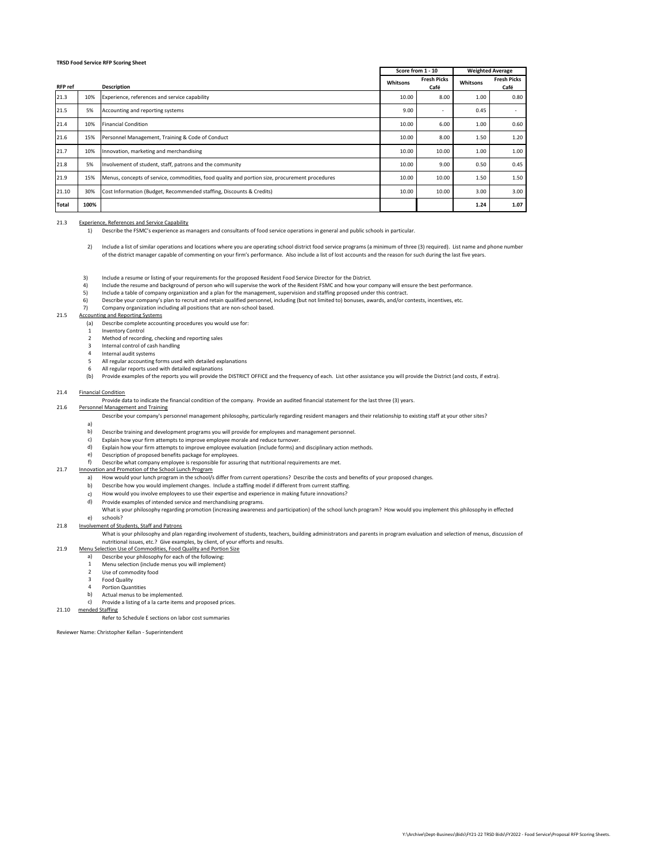|                |      |                                                                                                | Score from 1 - 10 |                            | <b>Weighted Average</b> |                            |
|----------------|------|------------------------------------------------------------------------------------------------|-------------------|----------------------------|-------------------------|----------------------------|
| <b>RFP</b> ref |      | <b>Description</b>                                                                             | Whitsons          | <b>Fresh Picks</b><br>Café | Whitsons                | <b>Fresh Picks</b><br>Café |
| 21.3           | 10%  | Experience, references and service capability                                                  | 10.00             | 8.00                       | 1.00                    | 0.80                       |
| 21.5           | 5%   | Accounting and reporting systems                                                               | 9.00              | ٠                          | 0.45                    |                            |
| 21.4           | 10%  | <b>Financial Condition</b>                                                                     | 10.00             | 6.00                       | 1.00                    | 0.60                       |
| 21.6           | 15%  | Personnel Management, Training & Code of Conduct                                               | 10.00             | 8.00                       | 1.50                    | 1.20                       |
| 21.7           | 10%  | Innovation, marketing and merchandising                                                        | 10.00             | 10.00                      | 1.00                    | 1.00                       |
| 21.8           | 5%   | Involvement of student, staff, patrons and the community                                       | 10.00             | 9.00                       | 0.50                    | 0.45                       |
| 21.9           | 15%  | Menus, concepts of service, commodities, food quality and portion size, procurement procedures | 10.00             | 10.00                      | 1.50                    | 1.50                       |
| 21.10          | 30%  | Cost Information (Budget, Recommended staffing, Discounts & Credits)                           | 10.00             | 10.00                      | 3.00                    | 3.00                       |
| Total          | 100% |                                                                                                |                   |                            | 1.24                    | 1.07                       |

#### 21.3 Experience, References and Service Capability

1) Describe the FSMC's experience as managers and consultants of food service operations in general and public schools in particular.

- 2) Include a list of similar operations and locations where you are operating school district food service programs (a minimum of three (3) required). List name and phone number of the district manager capable of commenting on your firm's performance. Also include a list of lost accounts and the reason for such during the last five years.
- 3) Include a resume or listing of your requirements for the proposed Resident Food Service Director for the District.
- 4) Include the resume and background of person who will supervise the work of the Resident FSMC and how your company will ensure the best performance.
- 5) Include a table of company organization and a plan for the management, supervision and staffing proposed under this contract.
- 6) Describe your company's plan to recruit and retain qualified personnel, including (but not limited to) bonuses, awards, and/or contests, incentives, etc.
- 7) Company organization including all positions that are non-school based.

#### 21.5 Accounting and Reporting Systems

- (a) Describe complete accounting procedures you would use for:
- 1 Inventory Control
- $\overline{2}$ Method of recording, checking and reporting sales
- 3 Internal control of cash handling
- 4 Internal audit systems
- 5 All regular accounting forms used with detailed explanations
- All regular reports used with detailed explanations
- 6 (b) Provide examples of the reports you will provide the DISTRICT OFFICE and the frequency of each. List other assistance you will provide the District (and costs, if extra).

#### 21.4 Financial Condition

21.6 Provide data to indicate the financial condition of the company. Provide an audited financial statement for the last three (3) years.

# Personnel Management and Training

Describe your company's personnel management philosophy, particularly regarding resident managers and their relationship to existing staff at your other sites?

- a)
- b) Describe training and development programs you will provide for employees and management personnel.
- c) Explain how your firm attempts to improve employee morale and reduce turnover.
- d) Explain how your firm attempts to improve employee evaluation (include forms) and disciplinary action methods.
- e) Description of proposed benefits package for employees.

#### f) 21.7 Describe what company employee is responsible for assuring that nutritional requirements are met. Innovation and Promotion of the School Lunch Program

- a) How would your lunch program in the school/s differ from current operations? Describe the costs and benefits of your proposed changes.
- b) Describe how you would implement changes. Include a staffing model if different from current staffing.
- c) How would you involve employees to use their expertise and experience in making future innovations?
- d)
- Provide examples of intended service and merchandising programs.<br>What is your philosophy regarding promotion (increasing awareness and participation) of the school lunch program? How would you implement this philosophy in
- schools?

#### e)<br><u>Involve</u> 21.8 nent of Students, Staff and Patrons

What is your philosophy and plan regarding involvement of students, teachers, building administrators and parents in program evaluation and selection of menus, discussion of<br>nutritional issues, etc.? Give examples, by clie

- Menu Selection Use of Commodities, Food Quality and Portion Size
	- a) Describe your philosophy for each of the following:
	- 1 Menu selection (include menus you will implement)
	- $\overline{2}$ Use of commodity food
	- 3 Food Quality
	- 4 Portion Quantities

#### b) Actual menus to be implemented.

c) 21.10 mended Staffing Provide a listing of a la carte items and proposed prices.

21.9

Refer to Schedule E sections on labor cost summaries

Reviewer Name: Christopher Kellan - Superintendent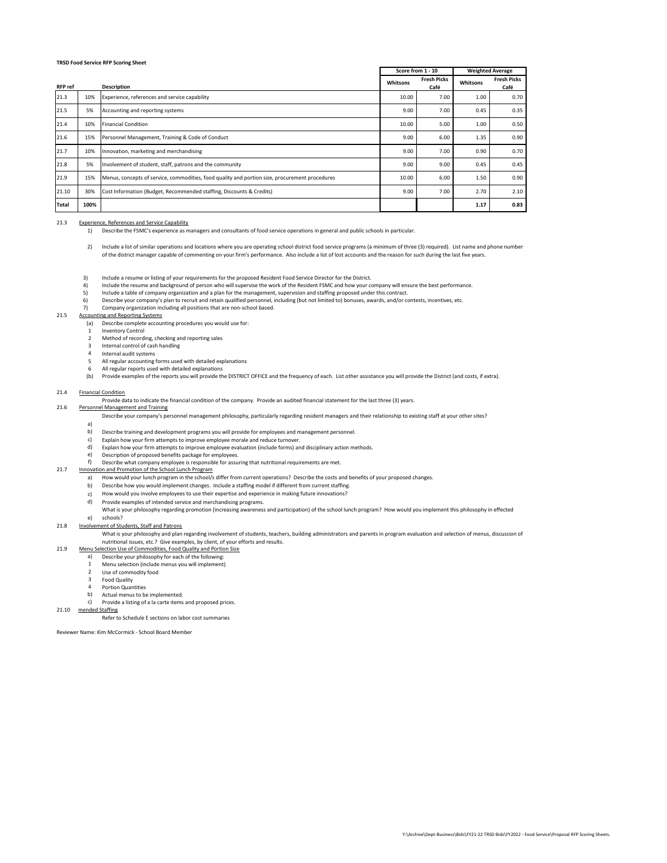|                |      |                                                                                                | Score from 1 - 10 |                            | <b>Weighted Average</b> |                            |
|----------------|------|------------------------------------------------------------------------------------------------|-------------------|----------------------------|-------------------------|----------------------------|
| <b>RFP</b> ref |      | <b>Description</b>                                                                             | Whitsons          | <b>Fresh Picks</b><br>Café | Whitsons                | <b>Fresh Picks</b><br>Café |
| 21.3           | 10%  | Experience, references and service capability                                                  | 10.00             | 7.00                       | 1.00                    | 0.70                       |
| 21.5           | 5%   | Accounting and reporting systems                                                               | 9.00              | 7.00                       | 0.45                    | 0.35                       |
| 21.4           | 10%  | <b>Financial Condition</b>                                                                     | 10.00             | 5.00                       | 1.00                    | 0.50                       |
| 21.6           | 15%  | Personnel Management, Training & Code of Conduct                                               | 9.00              | 6.00                       | 1.35                    | 0.90                       |
| 21.7           | 10%  | Innovation, marketing and merchandising                                                        | 9.00              | 7.00                       | 0.90                    | 0.70                       |
| 21.8           | 5%   | Involvement of student, staff, patrons and the community                                       | 9.00              | 9.00                       | 0.45                    | 0.45                       |
| 21.9           | 15%  | Menus, concepts of service, commodities, food quality and portion size, procurement procedures | 10.00             | 6.00                       | 1.50                    | 0.90                       |
| 21.10          | 30%  | Cost Information (Budget, Recommended staffing, Discounts & Credits)                           | 9.00              | 7.00                       | 2.70                    | 2.10                       |
| Total          | 100% |                                                                                                |                   |                            | 1.17                    | 0.83                       |

#### 21.3 Experience, References and Service Capability

1) Describe the FSMC's experience as managers and consultants of food service operations in general and public schools in particular.

- 2) Include a list of similar operations and locations where you are operating school district food service programs (a minimum of three (3) required). List name and phone number of the district manager capable of commenting on your firm's performance. Also include a list of lost accounts and the reason for such during the last five years.
- 3) Include a resume or listing of your requirements for the proposed Resident Food Service Director for the District.
- 4) Include the resume and background of person who will supervise the work of the Resident FSMC and how your company will ensure the best performance.
- 5) Include a table of company organization and a plan for the management, supervision and staffing proposed under this contract.
- 6) Describe your company's plan to recruit and retain qualified personnel, including (but not limited to) bonuses, awards, and/or contests, incentives, etc.
- 7) Company organization including all positions that are non-school based.

#### 21.5 Accounting and Reporting Systems

- (a) Describe complete accounting procedures you would use for:
- 1 Inventory Control
- $\overline{2}$ Method of recording, checking and reporting sales
- 3 Internal control of cash handling
- 4 Internal audit systems
- 5 All regular accounting forms used with detailed explanations
- All regular reports used with detailed explanations
- 6 (b) Provide examples of the reports you will provide the DISTRICT OFFICE and the frequency of each. List other assistance you will provide the District (and costs, if extra).

#### 21.4 Financial Condition

21.6 Provide data to indicate the financial condition of the company. Provide an audited financial statement for the last three (3) years.

# Personnel Management and Training

Describe your company's personnel management philosophy, particularly regarding resident managers and their relationship to existing staff at your other sites?

- a)
- b) Describe training and development programs you will provide for employees and management personnel.
- c) Explain how your firm attempts to improve employee morale and reduce turnover.
- d) Explain how your firm attempts to improve employee evaluation (include forms) and disciplinary action methods.
- e) f) Description of proposed benefits package for employees.

#### 21.7 Describe what company employee is responsible for assuring that nutritional requirements are met. Innovation and Promotion of the School Lunch Program

- a) How would your lunch program in the school/s differ from current operations? Describe the costs and benefits of your proposed changes.
- b) Describe how you would implement changes. Include a staffing model if different from current staffing.
- c) How would you involve employees to use their expertise and experience in making future innovations?
- d)
- Provide examples of intended service and merchandising programs.<br>What is your philosophy regarding promotion (increasing awareness and participation) of the school lunch program? How would you implement this philosophy in
- schools?

21.9

#### e)<br><u>Involve</u> 21.8 nent of Students, Staff and Patrons

# What is your philosophy and plan regarding involvement of students, teachers, building administrators and parents in program evaluation and selection of menus, discussion of<br>nutritional issues, etc.? Give examples, by clie

## Menu Selection Use of Commodities, Food Quality and Portion Size

- a) Describe your philosophy for each of the following:
- 1 Menu selection (include menus you will implement)
- $\overline{2}$ Use of commodity food
- 3 Food Quality
- 4 Portion Quantities
- b) Actual menus to be implemented.

#### c) Provide a listing of a la carte items and proposed prices.

21.10 mended Staffing

Refer to Schedule E sections on labor cost summaries

Reviewer Name: Kim McCormick - School Board Member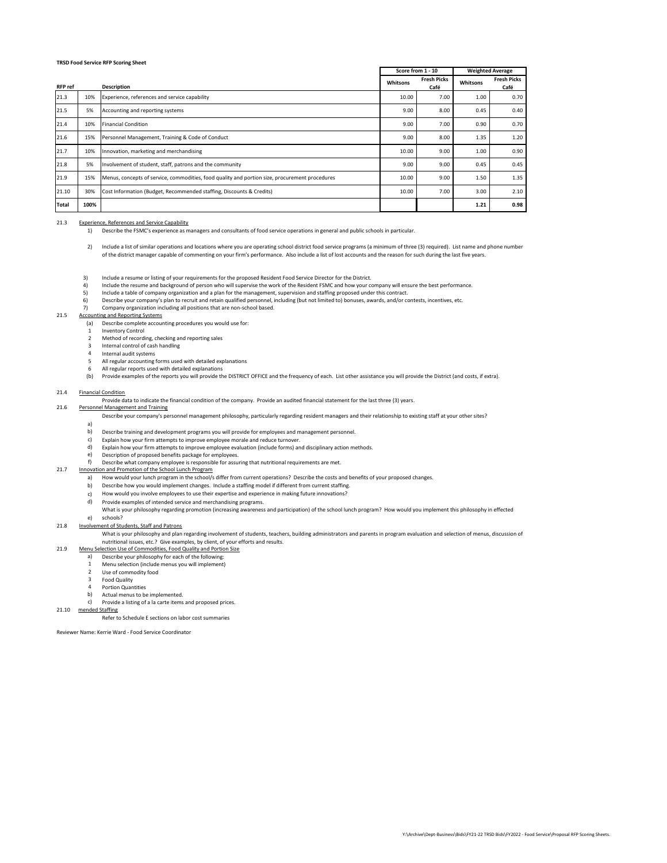|                |      |                                                                                                | Score from 1 - 10 |                            | <b>Weighted Average</b> |                            |
|----------------|------|------------------------------------------------------------------------------------------------|-------------------|----------------------------|-------------------------|----------------------------|
| <b>RFP</b> ref |      | <b>Description</b>                                                                             | Whitsons          | <b>Fresh Picks</b><br>Café | Whitsons                | <b>Fresh Picks</b><br>Café |
| 21.3           | 10%  | Experience, references and service capability                                                  | 10.00             | 7.00                       | 1.00                    | 0.70                       |
| 21.5           | 5%   | Accounting and reporting systems                                                               | 9.00              | 8.00                       | 0.45                    | 0.40                       |
| 21.4           | 10%  | <b>Financial Condition</b>                                                                     | 9.00              | 7.00                       | 0.90                    | 0.70                       |
| 21.6           | 15%  | Personnel Management, Training & Code of Conduct                                               | 9.00              | 8.00                       | 1.35                    | 1.20                       |
| 21.7           | 10%  | Innovation, marketing and merchandising                                                        | 10.00             | 9.00                       | 1.00                    | 0.90                       |
| 21.8           | 5%   | Involvement of student, staff, patrons and the community                                       | 9.00              | 9.00                       | 0.45                    | 0.45                       |
| 21.9           | 15%  | Menus, concepts of service, commodities, food quality and portion size, procurement procedures | 10.00             | 9.00                       | 1.50                    | 1.35                       |
| 21.10          | 30%  | Cost Information (Budget, Recommended staffing, Discounts & Credits)                           | 10.00             | 7.00                       | 3.00                    | 2.10                       |
| Total          | 100% |                                                                                                |                   |                            | 1.21                    | 0.98                       |

#### 21.3 Experience, References and Service Capability

1) Describe the FSMC's experience as managers and consultants of food service operations in general and public schools in particular.

- 2) Include a list of similar operations and locations where you are operating school district food service programs (a minimum of three (3) required). List name and phone number of the district manager capable of commenting on your firm's performance. Also include a list of lost accounts and the reason for such during the last five years.
- 3) Include a resume or listing of your requirements for the proposed Resident Food Service Director for the District.
- 4) Include the resume and background of person who will supervise the work of the Resident FSMC and how your company will ensure the best performance.
- 5) Include a table of company organization and a plan for the management, supervision and staffing proposed under this contract.
- 6) Describe your company's plan to recruit and retain qualified personnel, including (but not limited to) bonuses, awards, and/or contests, incentives, etc.
- 7) Company organization including all positions that are non-school based.

#### 21.5 Accounting and Reporting Systems

- (a) Describe complete accounting procedures you would use for:
- 1 Inventory Control
- $\overline{2}$ Method of recording, checking and reporting sales
- 3 Internal control of cash handling
- 4 Internal audit systems
- 5 All regular accounting forms used with detailed explanations
- All regular reports used with detailed explanations
- 6 (b) Provide examples of the reports you will provide the DISTRICT OFFICE and the frequency of each. List other assistance you will provide the District (and costs, if extra).

#### 21.4 Financial Condition

21.6 Provide data to indicate the financial condition of the company. Provide an audited financial statement for the last three (3) years.

# Personnel Management and Training

Describe your company's personnel management philosophy, particularly regarding resident managers and their relationship to existing staff at your other sites?

- a)
- b) Describe training and development programs you will provide for employees and management personnel.
- c) Explain how your firm attempts to improve employee morale and reduce turnover.
- d) Explain how your firm attempts to improve employee evaluation (include forms) and disciplinary action methods.
- e) f) Description of proposed benefits package for employees.

#### 21.7 Describe what company employee is responsible for assuring that nutritional requirements are met. Innovation and Promotion of the School Lunch Program

- a) How would your lunch program in the school/s differ from current operations? Describe the costs and benefits of your proposed changes.
- b) Describe how you would implement changes. Include a staffing model if different from current staffing.
- c) How would you involve employees to use their expertise and experience in making future innovations?
- d)
	- Provide examples of intended service and merchandising programs.<br>What is your philosophy regarding promotion (increasing awareness and participation) of the school lunch program? How would you implement this philosophy in
- schools?

21.9

#### e)<br><u>Involve</u> 21.8 nent of Students, Staff and Patrons

What is your philosophy and plan regarding involvement of students, teachers, building administrators and parents in program evaluation and selection of menus, discussion of<br>nutritional issues, etc.? Give examples, by clie

- Menu Selection Use of Commodities, Food Quality and Portion Size
	- a) Describe your philosophy for each of the following:
	- 1 Menu selection (include menus you will implement)
	- $\overline{2}$ Use of commodity food
	- 3 Food Quality
	- 4 Portion Quantities
	- b) Actual menus to be implemented.

#### c) Provide a listing of a la carte items and proposed prices.

21.10 mended Staffing

Refer to Schedule E sections on labor cost summaries

Reviewer Name: Kerrie Ward - Food Service Coordinator